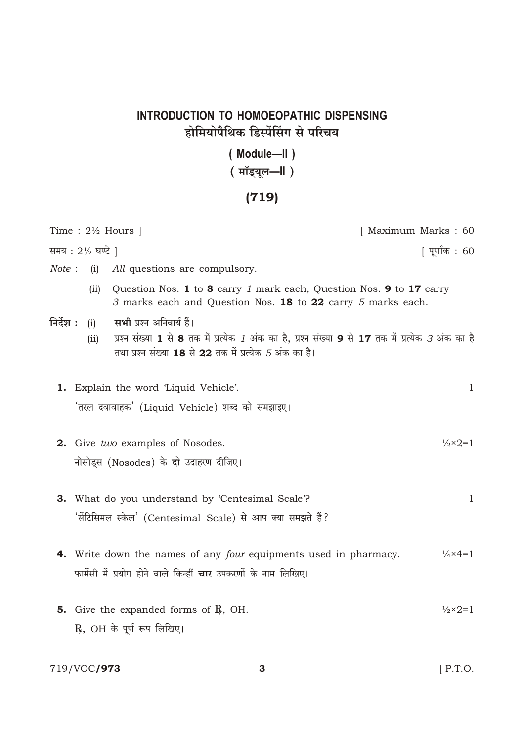## INTRODUCTION TO HOMOEOPATHIC DISPENSING होमियोपैथिक डिस्पेंसिंग से परिचय

(Module-II)

## ( मॉइयूल-॥ )

## $(719)$

|           |                | Time : $2\frac{1}{2}$ Hours                                                                                                                                                                              | [ Maximum Marks: 60        |
|-----------|----------------|----------------------------------------------------------------------------------------------------------------------------------------------------------------------------------------------------------|----------------------------|
|           | समय : 2½ घण्टे |                                                                                                                                                                                                          | पूर्णांक : 60              |
| Note:     | (i)            | All questions are compulsory.                                                                                                                                                                            |                            |
|           | (ii)           | Question Nos. 1 to 8 carry 1 mark each, Question Nos. 9 to 17 carry<br>3 marks each and Question Nos. 18 to 22 carry 5 marks each.                                                                       |                            |
| निर्देश : | (i)<br>(ii)    | <b>सभी</b> प्रश्न अनिवार्य हैं।<br>प्रश्न संख्या 1 से 8 तक में प्रत्येक 7 अंक का है, प्रश्न संख्या 9 से 17 तक में प्रत्येक <i>3</i> अंक का है<br>तथा प्रश्न संख्या 18 से 22 तक में प्रत्येक 5 अंक का है। |                            |
|           |                | 1. Explain the word 'Liquid Vehicle'.<br>'तरल दवावाहक' (Liquid Vehicle) शब्द को समझाइए।                                                                                                                  | $\mathbf{1}$               |
|           |                | 2. Give two examples of Nosodes.<br>नोसोड्स (Nosodes) के दो उदाहरण दीजिए।                                                                                                                                | $\frac{1}{2} \times 2 = 1$ |
| З.        |                | What do you understand by 'Centesimal Scale'?<br>'सेंटिसिमल स्केल' (Centesimal Scale) से आप क्या समझते हैं?                                                                                              | $\mathbf{1}$               |
|           |                | <b>4.</b> Write down the names of any <i>four</i> equipments used in pharmacy.<br>फार्मेसी में प्रयोग होने वाले किन्हीं <b>चार</b> उपकरणों के नाम लिखिए।                                                 | $\frac{1}{4} \times 4 = 1$ |
|           |                | <b>5.</b> Give the expanded forms of $\mathbb{R}$ , OH.<br>$R$ , OH के पूर्ण रूप लिखिए।                                                                                                                  | $\frac{1}{2} \times 2 = 1$ |

 $\mathbf{3}$ 

719/VOC**/973**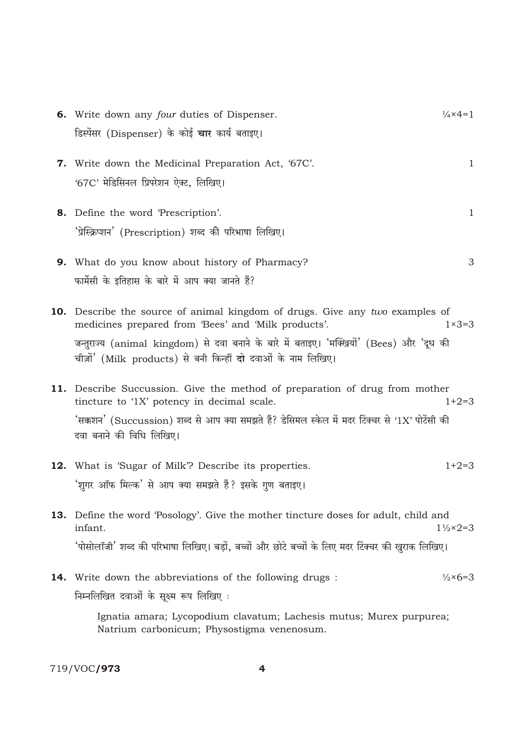|     | 6. Write down any <i>four</i> duties of Dispenser.                                                                                                        | $\frac{1}{4} \times 4 = 1$  |
|-----|-----------------------------------------------------------------------------------------------------------------------------------------------------------|-----------------------------|
|     | डिस्पेंसर (Dispenser) के कोई <b>चार</b> कार्य बताइए।                                                                                                      |                             |
| 7.  | Write down the Medicinal Preparation Act, '67C'.                                                                                                          | $\mathbf{1}$                |
|     | '67C' मेडिसिनल प्रिपरेशन ऐक्ट, लिखिए।                                                                                                                     |                             |
|     | 8. Define the word 'Prescription'.                                                                                                                        | $\mathbf{1}$                |
|     | 'प्रेस्क्रिप्शन' (Prescription) शब्द की परिभाषा लिखिए।                                                                                                    |                             |
|     | 9. What do you know about history of Pharmacy?                                                                                                            | 3                           |
|     | फार्मेसी के इतिहास के बारे में आप क्या जानते हैं?                                                                                                         |                             |
|     | <b>10.</b> Describe the source of animal kingdom of drugs. Give any two examples of<br>medicines prepared from 'Bees' and 'Milk products'.                | $1\times3=3$                |
|     | जन्तुराज्य (animal kingdom) से दवा बनाने के बारे में बताइए। 'मक्खियों' (Bees) और 'दूध की<br>चीज़ों' (Milk products) से बनी किन्हीं दो दवाओं के नाम लिखिए। |                             |
|     | 11. Describe Succussion. Give the method of preparation of drug from mother<br>tincture to '1X' potency in decimal scale.                                 | $1+2=3$                     |
|     | 'सक्कशन' (Succussion) शब्द से आप क्या समझते हैं? डेसिमल स्केल में मदर टिंक्चर से '1X' पोटेंसी की<br>दवा बनाने की विधि लिखिए।                              |                             |
|     | <b>12.</b> What is 'Sugar of Milk'? Describe its properties.                                                                                              | $1+2=3$                     |
|     | 'शुगर ऑफ मिल्क' से आप क्या समझते हैं? इसके गुण बताइए।                                                                                                     |                             |
|     | <b>13.</b> Define the word 'Posology'. Give the mother tincture doses for adult, child and<br>infant.                                                     | $1\frac{1}{2} \times 2 = 3$ |
|     | 'पोसोलॉजी' शब्द की परिभाषा लिखिए। बड़ों, बच्चों और छोटे बच्चों के लिए मदर टिंक्चर की खुराक लिखिए।                                                         |                             |
| 14. | Write down the abbreviations of the following drugs :                                                                                                     | $\frac{1}{2} \times 6 = 3$  |
|     | निम्नलिखित दवाओं के सूक्ष्म रूप लिखिए:                                                                                                                    |                             |
|     | Ignatia amara; Lycopodium clavatum; Lachesis mutus; Murex purpurea;<br>Natrium carbonicum; Physostigma venenosum.                                         |                             |

719/VOC**/973** 

 $\overline{\mathbf{4}}$